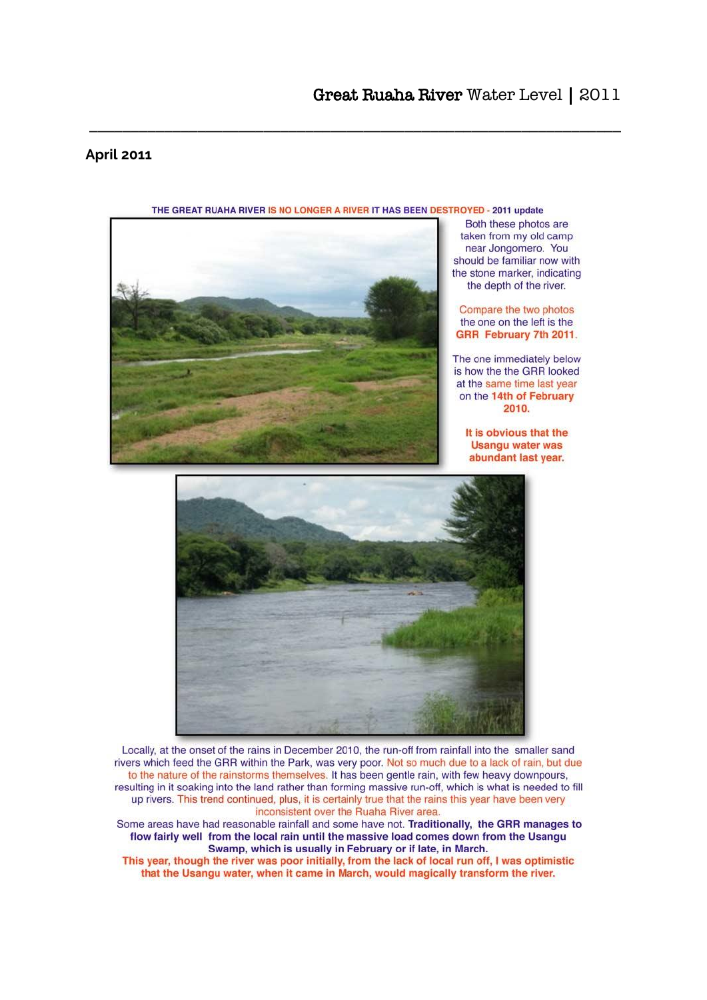## **April 2011**



### THE GREAT RUAHA RIVER IS NO LONGER A RIVER IT HAS BEEN DESTROYED - 2011 update

Both these photos are taken from my old camp near Jongomero. You should be familiar now with the stone marker, indicating the depth of the river.

Compare the two photos the one on the left is the GRR February 7th 2011.

The one immediately below is how the the GRR looked at the same time last year on the 14th of February 2010.

It is obvious that the **Usangu water was** abundant last year.



Locally, at the onset of the rains in December 2010, the run-off from rainfall into the smaller sand rivers which feed the GRR within the Park, was very poor. Not so much due to a lack of rain, but due to the nature of the rainstorms themselves. It has been gentle rain, with few heavy downpours, resulting in it soaking into the land rather than forming massive run-off, which is what is needed to fill up rivers. This trend continued, plus, it is certainly true that the rains this year have been very inconsistent over the Ruaha River area.

Some areas have had reasonable rainfall and some have not. Traditionally, the GRR manages to flow fairly well from the local rain until the massive load comes down from the Usangu Swamp, which is usually in February or if late, in March.

This year, though the river was poor initially, from the lack of local run off, I was optimistic that the Usangu water, when it came in March, would magically transform the river.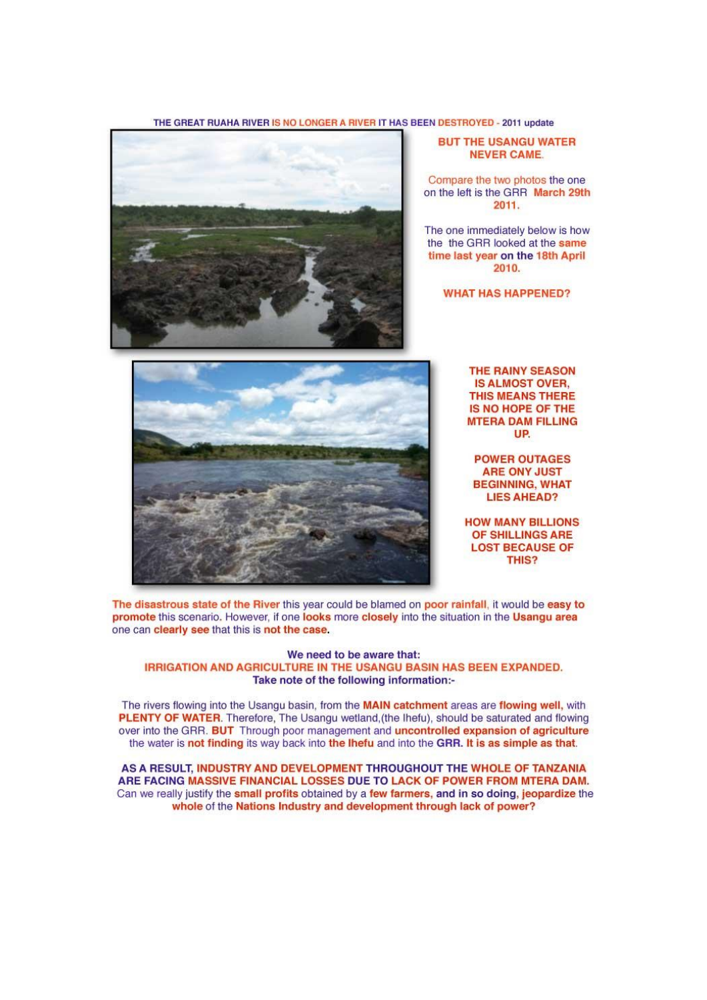#### THE GREAT RUAHA RIVER IS NO LONGER A RIVER IT HAS BEEN DESTROYED - 2011 update



#### **BUT THE USANGU WATER NEVER CAME.**

Compare the two photos the one on the left is the GRR March 29th 2011.

The one immediately below is how the the GRR looked at the same time last year on the 18th April 2010.

**WHAT HAS HAPPENED?** 



**THE RAINY SEASON IS ALMOST OVER, THIS MEANS THERE** IS NO HOPE OF THE **MTERA DAM FILLING UP** 

**POWER OUTAGES ARE ONY JUST BEGINNING, WHAT LIES AHEAD?** 

**HOW MANY BILLIONS** OF SHILLINGS ARE **LOST BECAUSE OF** THIS?

The disastrous state of the River this year could be blamed on poor rainfall, it would be easy to promote this scenario. However, if one looks more closely into the situation in the Usangu area one can clearly see that this is not the case.

#### We need to be aware that: IRRIGATION AND AGRICULTURE IN THE USANGU BASIN HAS BEEN EXPANDED. Take note of the following information:-

The rivers flowing into the Usangu basin, from the MAIN catchment areas are flowing well, with PLENTY OF WATER. Therefore, The Usangu wetland, (the lhefu), should be saturated and flowing over into the GRR. BUT Through poor management and uncontrolled expansion of agriculture the water is not finding its way back into the lhefu and into the GRR. It is as simple as that.

AS A RESULT, INDUSTRY AND DEVELOPMENT THROUGHOUT THE WHOLE OF TANZANIA ARE FACING MASSIVE FINANCIAL LOSSES DUE TO LACK OF POWER FROM MTERA DAM. Can we really justify the small profits obtained by a few farmers, and in so doing, jeopardize the whole of the Nations Industry and development through lack of power?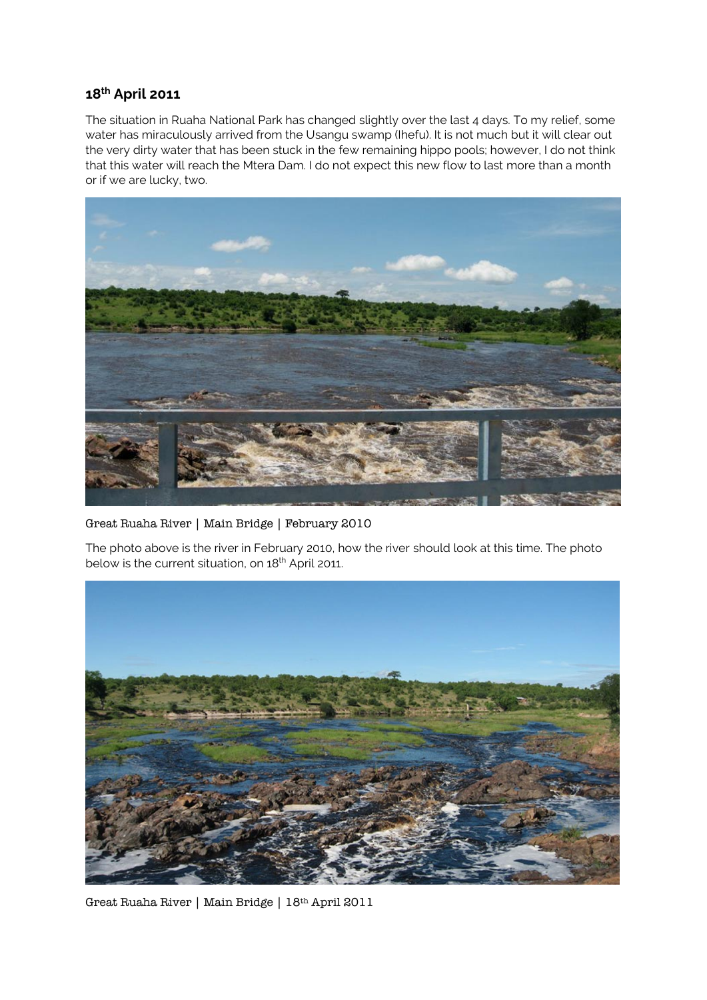# **18th April 2011**

The situation in Ruaha National Park has changed slightly over the last 4 days. To my relief, some water has miraculously arrived from the Usangu swamp (Ihefu). It is not much but it will clear out the very dirty water that has been stuck in the few remaining hippo pools; however, I do not think that this water will reach the Mtera Dam. I do not expect this new flow to last more than a month or if we are lucky, two.



Great Ruaha River | Main Bridge | February 2010

The photo above is the river in February 2010, how the river should look at this time. The photo below is the current situation, on 18<sup>th</sup> April 2011.



Great Ruaha River | Main Bridge | 18th April 2011